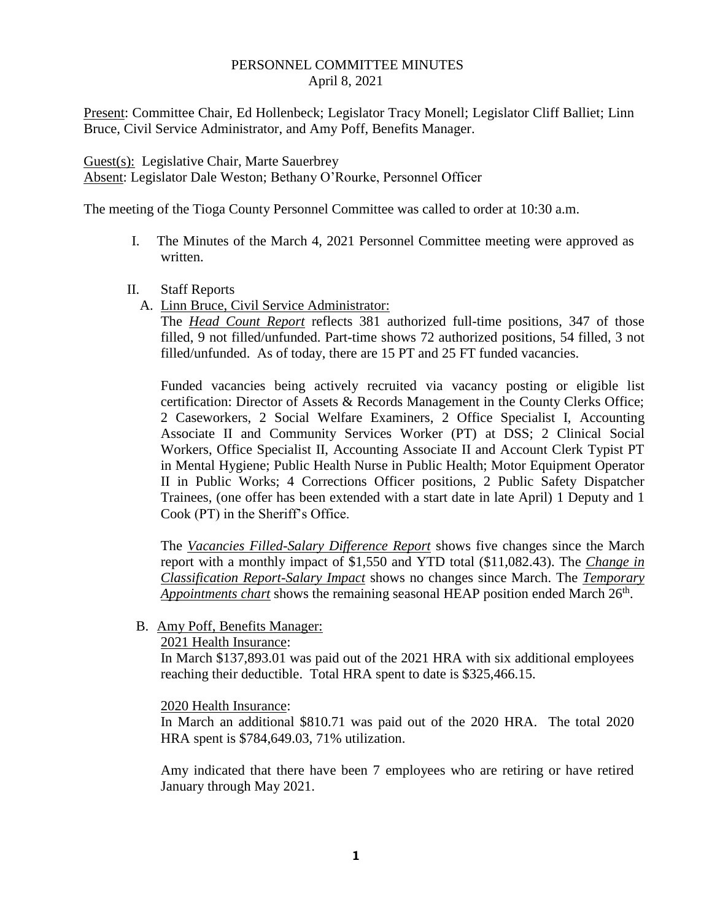## PERSONNEL COMMITTEE MINUTES April 8, 2021

Present: Committee Chair, Ed Hollenbeck; Legislator Tracy Monell; Legislator Cliff Balliet; Linn Bruce, Civil Service Administrator, and Amy Poff, Benefits Manager.

Guest(s): Legislative Chair, Marte Sauerbrey Absent: Legislator Dale Weston; Bethany O'Rourke, Personnel Officer

The meeting of the Tioga County Personnel Committee was called to order at 10:30 a.m.

- I. The Minutes of the March 4, 2021 Personnel Committee meeting were approved as written.
- II. Staff Reports
	- A. Linn Bruce, Civil Service Administrator:

The *Head Count Report* reflects 381 authorized full-time positions, 347 of those filled, 9 not filled/unfunded. Part-time shows 72 authorized positions, 54 filled, 3 not filled/unfunded. As of today, there are 15 PT and 25 FT funded vacancies.

Funded vacancies being actively recruited via vacancy posting or eligible list certification: Director of Assets & Records Management in the County Clerks Office; 2 Caseworkers, 2 Social Welfare Examiners, 2 Office Specialist I, Accounting Associate II and Community Services Worker (PT) at DSS; 2 Clinical Social Workers, Office Specialist II, Accounting Associate II and Account Clerk Typist PT in Mental Hygiene; Public Health Nurse in Public Health; Motor Equipment Operator II in Public Works; 4 Corrections Officer positions, 2 Public Safety Dispatcher Trainees, (one offer has been extended with a start date in late April) 1 Deputy and 1 Cook (PT) in the Sheriff's Office.

The *Vacancies Filled-Salary Difference Report* shows five changes since the March report with a monthly impact of \$1,550 and YTD total (\$11,082.43). The *Change in Classification Report-Salary Impact* shows no changes since March. The *Temporary*  Appointments chart shows the remaining seasonal HEAP position ended March 26<sup>th</sup>.

B. Amy Poff, Benefits Manager:

2021 Health Insurance:

In March \$137,893.01 was paid out of the 2021 HRA with six additional employees reaching their deductible. Total HRA spent to date is \$325,466.15.

2020 Health Insurance:

In March an additional \$810.71 was paid out of the 2020 HRA. The total 2020 HRA spent is \$784,649.03, 71% utilization.

Amy indicated that there have been 7 employees who are retiring or have retired January through May 2021.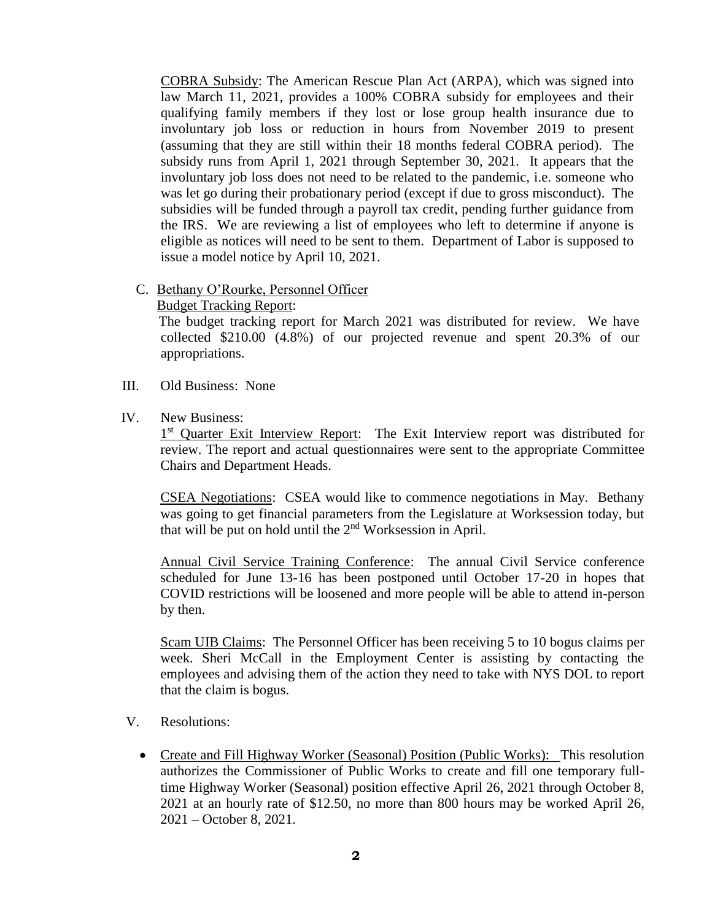COBRA Subsidy: The American Rescue Plan Act (ARPA), which was signed into law March 11, 2021, provides a 100% COBRA subsidy for employees and their qualifying family members if they lost or lose group health insurance due to involuntary job loss or reduction in hours from November 2019 to present (assuming that they are still within their 18 months federal COBRA period). The subsidy runs from April 1, 2021 through September 30, 2021. It appears that the involuntary job loss does not need to be related to the pandemic, i.e. someone who was let go during their probationary period (except if due to gross misconduct). The subsidies will be funded through a payroll tax credit, pending further guidance from the IRS. We are reviewing a list of employees who left to determine if anyone is eligible as notices will need to be sent to them. Department of Labor is supposed to issue a model notice by April 10, 2021.

- C. Bethany O'Rourke, Personnel Officer
	- Budget Tracking Report:

 The budget tracking report for March 2021 was distributed for review. We have collected \$210.00 (4.8%) of our projected revenue and spent 20.3% of our appropriations.

- III. Old Business: None
- IV. New Business:

<sup>1st</sup> Quarter Exit Interview Report: The Exit Interview report was distributed for review. The report and actual questionnaires were sent to the appropriate Committee Chairs and Department Heads.

CSEA Negotiations: CSEA would like to commence negotiations in May. Bethany was going to get financial parameters from the Legislature at Worksession today, but that will be put on hold until the  $2<sup>nd</sup>$  Worksession in April.

Annual Civil Service Training Conference: The annual Civil Service conference scheduled for June 13-16 has been postponed until October 17-20 in hopes that COVID restrictions will be loosened and more people will be able to attend in-person by then.

Scam UIB Claims: The Personnel Officer has been receiving 5 to 10 bogus claims per week. Sheri McCall in the Employment Center is assisting by contacting the employees and advising them of the action they need to take with NYS DOL to report that the claim is bogus.

- V. Resolutions:
	- Create and Fill Highway Worker (Seasonal) Position (Public Works): This resolution authorizes the Commissioner of Public Works to create and fill one temporary fulltime Highway Worker (Seasonal) position effective April 26, 2021 through October 8, 2021 at an hourly rate of \$12.50, no more than 800 hours may be worked April 26, 2021 – October 8, 2021.